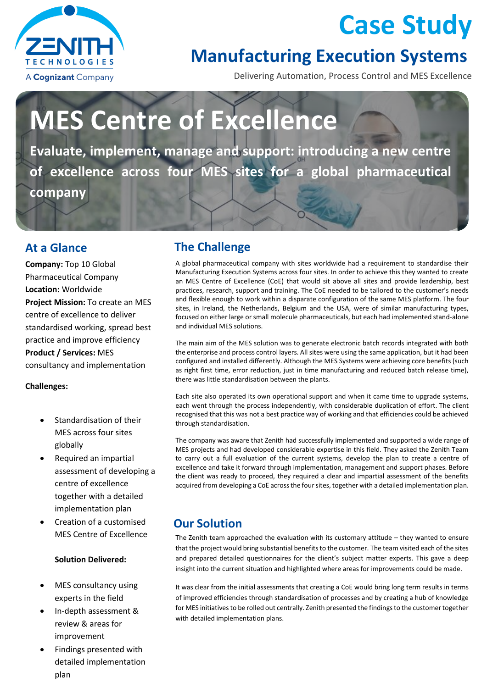

## **Case Study**

### **Manufacturing Execution Systems**

Delivering Automation, Process Control and MES Excellence

# **MES Centre of Excellence**

**Evaluate, implement, manage and support: introducing a new centre of excellence across four MES sites for a global pharmaceutical company**

**Company:** Top 10 Global Pharmaceutical Company **Location:** Worldwide **Project Mission:** To create an MES centre of excellence to deliver standardised working, spread best practice and improve efficiency **Product / Services:** MES consultancy and implementation

#### **Challenges:**

- Standardisation of their MES across four sites globally
- Required an impartial assessment of developing a centre of excellence together with a detailed implementation plan
- Creation of a customised MES Centre of Excellence

#### **Solution Delivered:**

- MES consultancy using experts in the field
- In-depth assessment & review & areas for improvement
- Findings presented with detailed implementation plan

#### **At a Glance The Challenge**

A global pharmaceutical company with sites worldwide had a requirement to standardise their Manufacturing Execution Systems across four sites. In order to achieve this they wanted to create an MES Centre of Excellence (CoE) that would sit above all sites and provide leadership, best practices, research, support and training. The CoE needed to be tailored to the customer's needs and flexible enough to work within a disparate configuration of the same MES platform. The four sites, in Ireland, the Netherlands, Belgium and the USA, were of similar manufacturing types, focused on either large or small molecule pharmaceuticals, but each had implemented stand-alone and individual MES solutions.

The main aim of the MES solution was to generate electronic batch records integrated with both the enterprise and process control layers. All sites were using the same application, but it had been configured and installed differently. Although the MES Systems were achieving core benefits (such as right first time, error reduction, just in time manufacturing and reduced batch release time), there was little standardisation between the plants.

Each site also operated its own operational support and when it came time to upgrade systems, each went through the process independently, with considerable duplication of effort. The client recognised that this was not a best practice way of working and that efficiencies could be achieved through standardisation.

The company was aware that Zenith had successfully implemented and supported a wide range of MES projects and had developed considerable expertise in this field. They asked the Zenith Team to carry out a full evaluation of the current systems, develop the plan to create a centre of excellence and take it forward through implementation, management and support phases. Before the client was ready to proceed, they required a clear and impartial assessment of the benefits acquired from developing a CoE across the four sites, together with a detailed implementation plan.

#### **Our Solution**

The Zenith team approached the evaluation with its customary attitude – they wanted to ensure that the project would bring substantial benefits to the customer. The team visited each of the sites and prepared detailed questionnaires for the client's subject matter experts. This gave a deep insight into the current situation and highlighted where areas for improvements could be made.

It was clear from the initial assessments that creating a CoE would bring long term results in terms of improved efficiencies through standardisation of processes and by creating a hub of knowledge for MES initiatives to be rolled out centrally. Zenith presented the findings to the customer together with detailed implementation plans.